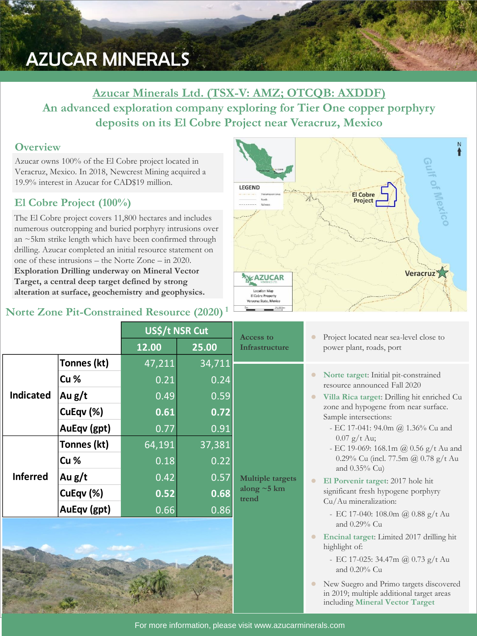# AZUCAR MINERALS

## **Azucar Minerals Ltd. (TSX-V: AMZ; OTCQB: AXDDF) An advanced exploration company exploring for Tier One copper porphyry deposits on its El Cobre Project near Veracruz, Mexico**

#### **Overview**

Azucar owns 100% of the El Cobre project located in Veracruz, Mexico. In 2018, Newcrest Mining acquired a 19.9% interest in Azucar for CAD\$19 million.

## **El Cobre Project (100%)**

The El Cobre project covers 11,800 hectares and includes numerous outcropping and buried porphyry intrusions over an ~5km strike length which have been confirmed through drilling. Azucar completed an initial resource statement on one of these intrusions – the Norte Zone – in 2020. **Exploration Drilling underway on Mineral Vector Target, a central deep target defined by strong alteration at surface, geochemistry and geophysics.**

## **Norte Zone Pit-Constrained Resource (2020) <sup>1</sup>**



|                  |             | US\$/t NSR Cut |        | Access to                                             | Project located near sea-level close to                                                                                                                                                                                                                                                                                                       |  |
|------------------|-------------|----------------|--------|-------------------------------------------------------|-----------------------------------------------------------------------------------------------------------------------------------------------------------------------------------------------------------------------------------------------------------------------------------------------------------------------------------------------|--|
|                  |             | 12.00          | 25.00  | Infrastructure                                        | power plant, roads, port                                                                                                                                                                                                                                                                                                                      |  |
| <b>Indicated</b> | Tonnes (kt) | 47,211         | 34,711 | <b>Multiple targets</b><br>along $\sim$ 5 km<br>trend |                                                                                                                                                                                                                                                                                                                                               |  |
|                  | Cu %        | 0.21           | 0.24   |                                                       | Norte target: Initial pit-constrained<br>resource announced Fall 2020<br>Villa Rica target: Drilling hit enriched Cu<br>zone and hypogene from near surface.<br>Sample intersections:<br>- EC 17-041: 94.0m @ 1.36% Cu and<br>$0.07$ g/t Au;<br>- EC 19-069: 168.1m @ 0.56 g/t Au and<br>0.29% Cu (incl. 77.5m @ 0.78 g/t Au<br>and 0.35% Cu) |  |
|                  | Au g/t      | 0.49           | 0.59   |                                                       |                                                                                                                                                                                                                                                                                                                                               |  |
|                  | CuEqv (%)   | 0.61           | 0.72   |                                                       |                                                                                                                                                                                                                                                                                                                                               |  |
|                  | AuEqv (gpt) | 0.77           | 0.91   |                                                       |                                                                                                                                                                                                                                                                                                                                               |  |
| <b>Inferred</b>  | Tonnes (kt) | 64,191         | 37,381 |                                                       |                                                                                                                                                                                                                                                                                                                                               |  |
|                  | Cu %        | 0.18           | 0.22   |                                                       |                                                                                                                                                                                                                                                                                                                                               |  |
|                  | Au $g/t$    | 0.42           | 0.57   |                                                       | El Porvenir target: 2017 hole hit                                                                                                                                                                                                                                                                                                             |  |
|                  | CuEqv (%)   | 0.52           | 0.68   |                                                       | significant fresh hypogene porphyry<br>Cu/Au mineralization:                                                                                                                                                                                                                                                                                  |  |
|                  | AuEqv (gpt) | 0.66           | 0.86   |                                                       | - EC 17-040: 108.0m @ 0.88 g/t Au                                                                                                                                                                                                                                                                                                             |  |
|                  |             |                |        |                                                       | and 0.29% Cu                                                                                                                                                                                                                                                                                                                                  |  |
|                  |             |                |        |                                                       | Encinal target: Limited 2017 drilling hit<br>highlight of:                                                                                                                                                                                                                                                                                    |  |
|                  |             |                |        |                                                       | - EC 17-025: 34.47m @ 0.73 g/t Au<br>and 0.20% Cu                                                                                                                                                                                                                                                                                             |  |

⚫ New Suegro and Primo targets discovered in 2019; multiple additional target areas including **Mineral Vector Target**